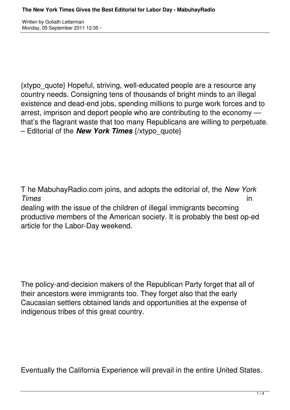Written by Goliath Letterman Monday, 05 September 2011 12:35 -

{xtypo\_quote} Hopeful, striving, well-educated people are a resource any country needs. Consigning tens of thousands of bright minds to an illegal existence and dead-end jobs, spending millions to purge work forces and to arrest, imprison and deport people who are contributing to the economy that's the flagrant waste that too many Republicans are willing to perpetuate. – Editorial of the *New York Times* {/xtypo\_quote}

T he MabuhayRadio.com joins, and adopts the editorial of, the *New York Times* in dealing with the issue of the children of illegal immigrants becoming productive members of the American society. It is probably the best op-ed article for the Labor-Day weekend.

The policy-and-decision makers of the Republican Party forget that all of their ancestors were immigrants too. They forget also that the early Caucasian settlers obtained lands and opportunities at the expense of indigenous tribes of this great country.

Eventually the California Experience will prevail in the entire United States.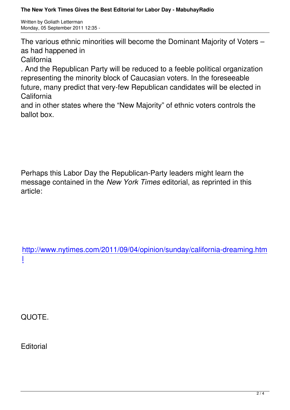The various ethnic minorities will become the Dominant Majority of Voters – as had happened in

California

. And the Republican Party will be reduced to a feeble political organization representing the minority block of Caucasian voters. In the foreseeable future, many predict that very-few Republican candidates will be elected in California

and in other states where the "New Majority" of ethnic voters controls the ballot box.

Perhaps this Labor Day the Republican-Party leaders might learn the message contained in the *New York Times* editorial, as reprinted in this article:

http://www.nytimes.com/2011/09/04/opinion/sunday/california-dreaming.htm l

QUOTE.

**Editorial**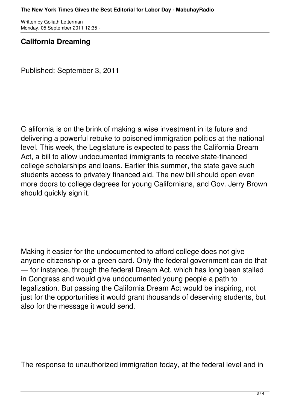Written by Goliath Letterman Monday, 05 September 2011 12:35 -

## **California Dreaming**

Published: September 3, 2011

C alifornia is on the brink of making a wise investment in its future and delivering a powerful rebuke to poisoned immigration politics at the national level. This week, the Legislature is expected to pass the California Dream Act, a bill to allow undocumented immigrants to receive state-financed college scholarships and loans. Earlier this summer, the state gave such students access to privately financed aid. The new bill should open even more doors to college degrees for young Californians, and Gov. Jerry Brown should quickly sign it.

Making it easier for the undocumented to afford college does not give anyone citizenship or a green card. Only the federal government can do that — for instance, through the federal Dream Act, which has long been stalled in Congress and would give undocumented young people a path to legalization. But passing the California Dream Act would be inspiring, not just for the opportunities it would grant thousands of deserving students, but also for the message it would send.

The response to unauthorized immigration today, at the federal level and in